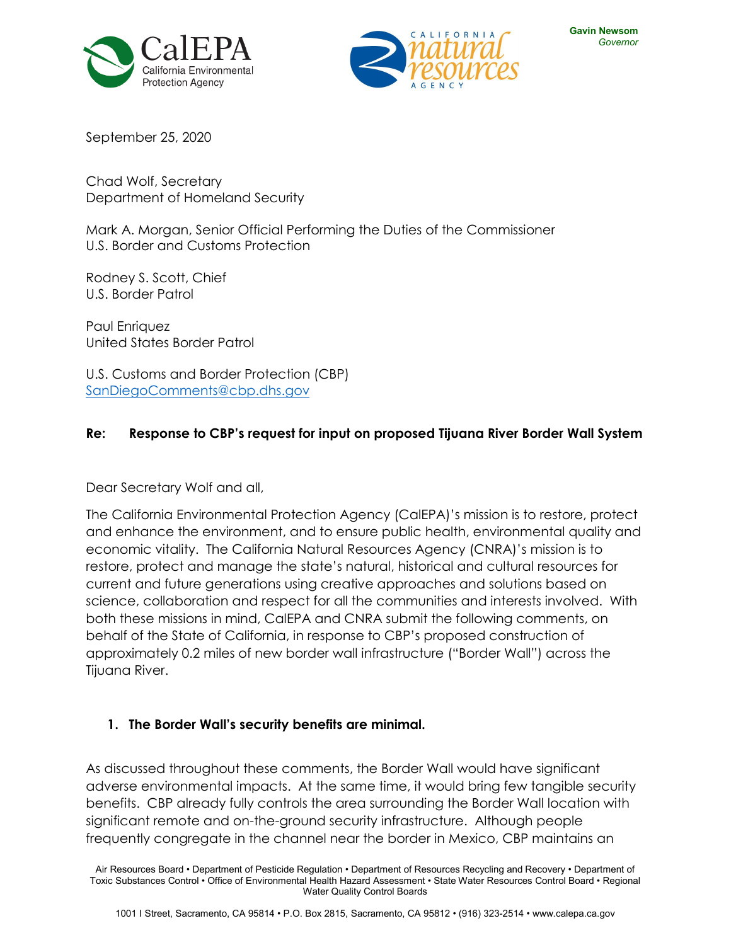



September 25, 2020

Chad Wolf, Secretary Department of Homeland Security

Mark A. Morgan, Senior Official Performing the Duties of the Commissioner U.S. Border and Customs Protection

Rodney S. Scott, Chief U.S. Border Patrol

Paul Enriquez United States Border Patrol

U.S. Customs and Border Protection (CBP) [SanDiegoComments@cbp.dhs.gov](mailto:SanDiegoComments@cbp.dhs.gov)

### **Re: Response to CBP's request for input on proposed Tijuana River Border Wall System**

Dear Secretary Wolf and all,

The California Environmental Protection Agency (CalEPA)'s mission is to restore, protect and enhance the environment, and to ensure public health, environmental quality and economic vitality. The California Natural Resources Agency (CNRA)'s mission is to restore, protect and manage the state's natural, historical and cultural resources for current and future generations using creative approaches and solutions based on science, collaboration and respect for all the communities and interests involved. With both these missions in mind, CalEPA and CNRA submit the following comments, on behalf of the State of California, in response to CBP's proposed construction of approximately 0.2 miles of new border wall infrastructure ("Border Wall") across the Tijuana River.

#### **1. The Border Wall's security benefits are minimal.**

As discussed throughout these comments, the Border Wall would have significant adverse environmental impacts. At the same time, it would bring few tangible security benefits. CBP already fully controls the area surrounding the Border Wall location with significant remote and on-the-ground security infrastructure. Although people frequently congregate in the channel near the border in Mexico, CBP maintains an

Air Resources Board • Department of Pesticide Regulation • Department of Resources Recycling and Recovery • Department of Toxic Substances Control • Office of Environmental Health Hazard Assessment • State Water Resources Control Board • Regional Water Quality Control Boards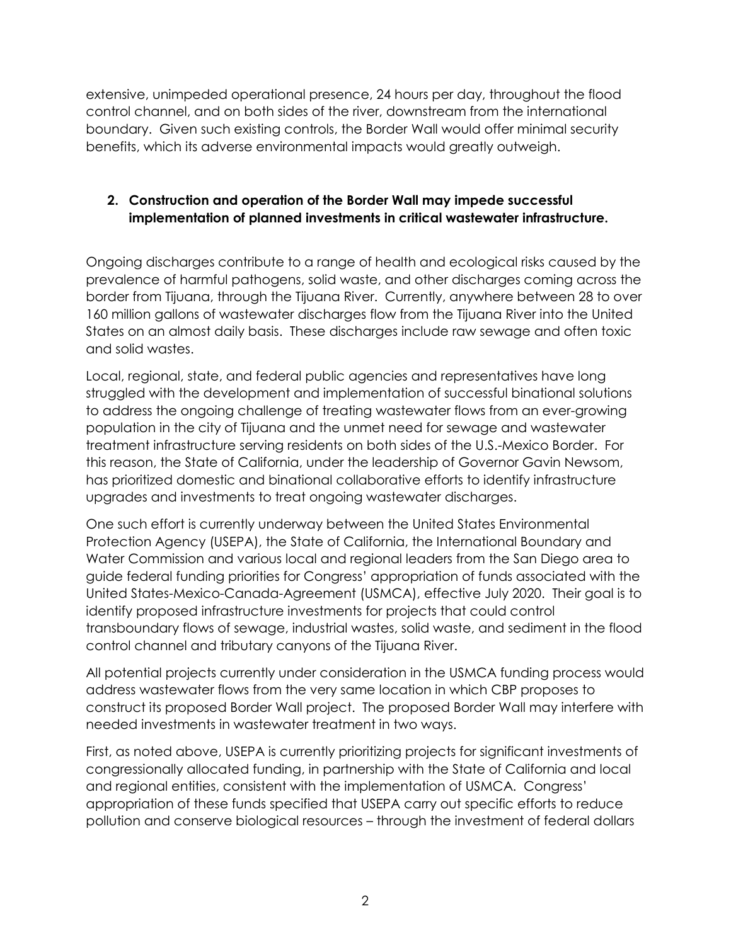extensive, unimpeded operational presence, 24 hours per day, throughout the flood control channel, and on both sides of the river, downstream from the international boundary. Given such existing controls, the Border Wall would offer minimal security benefits, which its adverse environmental impacts would greatly outweigh.

## **2. Construction and operation of the Border Wall may impede successful implementation of planned investments in critical wastewater infrastructure.**

Ongoing discharges contribute to a range of health and ecological risks caused by the prevalence of harmful pathogens, solid waste, and other discharges coming across the border from Tijuana, through the Tijuana River. Currently, anywhere between 28 to over 160 million gallons of wastewater discharges flow from the Tijuana River into the United States on an almost daily basis. These discharges include raw sewage and often toxic and solid wastes.

Local, regional, state, and federal public agencies and representatives have long struggled with the development and implementation of successful binational solutions to address the ongoing challenge of treating wastewater flows from an ever-growing population in the city of Tijuana and the unmet need for sewage and wastewater treatment infrastructure serving residents on both sides of the U.S.-Mexico Border. For this reason, the State of California, under the leadership of Governor Gavin Newsom, has prioritized domestic and binational collaborative efforts to identify infrastructure upgrades and investments to treat ongoing wastewater discharges.

One such effort is currently underway between the United States Environmental Protection Agency (USEPA), the State of California, the International Boundary and Water Commission and various local and regional leaders from the San Diego area to guide federal funding priorities for Congress' appropriation of funds associated with the United States-Mexico-Canada-Agreement (USMCA), effective July 2020. Their goal is to identify proposed infrastructure investments for projects that could control transboundary flows of sewage, industrial wastes, solid waste, and sediment in the flood control channel and tributary canyons of the Tijuana River.

All potential projects currently under consideration in the USMCA funding process would address wastewater flows from the very same location in which CBP proposes to construct its proposed Border Wall project. The proposed Border Wall may interfere with needed investments in wastewater treatment in two ways.

First, as noted above, USEPA is currently prioritizing projects for significant investments of congressionally allocated funding, in partnership with the State of California and local and regional entities, consistent with the implementation of USMCA. Congress' appropriation of these funds specified that USEPA carry out specific efforts to reduce pollution and conserve biological resources – through the investment of federal dollars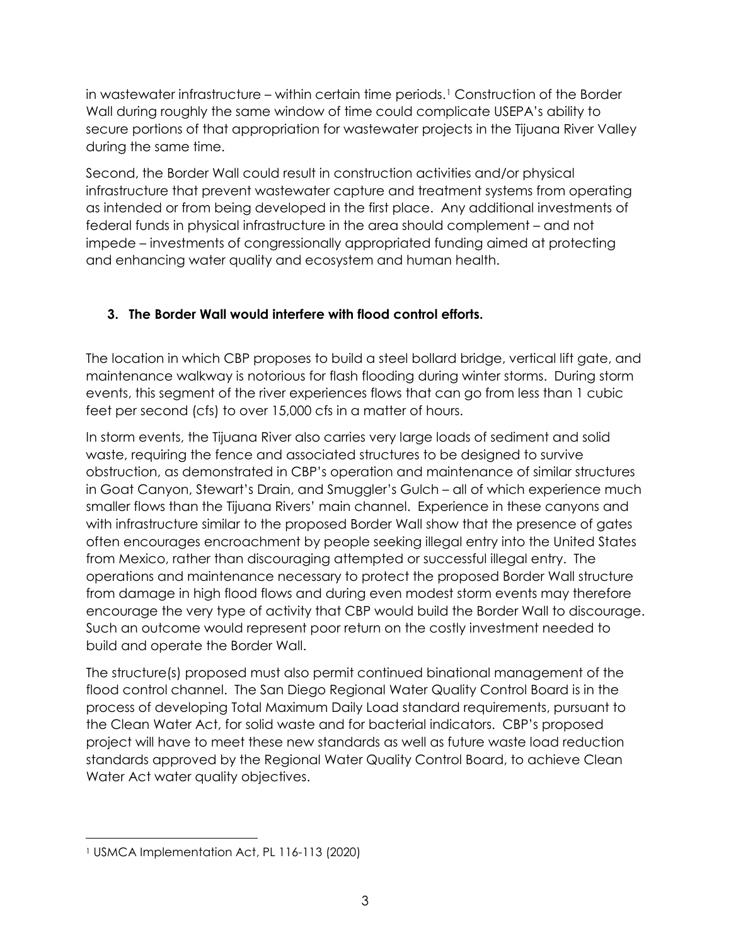in wastewater infrastructure – within certain time periods.[1](#page-2-0) Construction of the Border Wall during roughly the same window of time could complicate USEPA's ability to secure portions of that appropriation for wastewater projects in the Tijuana River Valley during the same time.

Second, the Border Wall could result in construction activities and/or physical infrastructure that prevent wastewater capture and treatment systems from operating as intended or from being developed in the first place. Any additional investments of federal funds in physical infrastructure in the area should complement – and not impede – investments of congressionally appropriated funding aimed at protecting and enhancing water quality and ecosystem and human health.

# **3. The Border Wall would interfere with flood control efforts.**

The location in which CBP proposes to build a steel bollard bridge, vertical lift gate, and maintenance walkway is notorious for flash flooding during winter storms. During storm events, this segment of the river experiences flows that can go from less than 1 cubic feet per second (cfs) to over 15,000 cfs in a matter of hours.

In storm events, the Tijuana River also carries very large loads of sediment and solid waste, requiring the fence and associated structures to be designed to survive obstruction, as demonstrated in CBP's operation and maintenance of similar structures in Goat Canyon, Stewart's Drain, and Smuggler's Gulch – all of which experience much smaller flows than the Tijuana Rivers' main channel. Experience in these canyons and with infrastructure similar to the proposed Border Wall show that the presence of gates often encourages encroachment by people seeking illegal entry into the United States from Mexico, rather than discouraging attempted or successful illegal entry. The operations and maintenance necessary to protect the proposed Border Wall structure from damage in high flood flows and during even modest storm events may therefore encourage the very type of activity that CBP would build the Border Wall to discourage. Such an outcome would represent poor return on the costly investment needed to build and operate the Border Wall.

The structure(s) proposed must also permit continued binational management of the flood control channel. The San Diego Regional Water Quality Control Board is in the process of developing Total Maximum Daily Load standard requirements, pursuant to the Clean Water Act, for solid waste and for bacterial indicators. CBP's proposed project will have to meet these new standards as well as future waste load reduction standards approved by the Regional Water Quality Control Board, to achieve Clean Water Act water quality objectives.

l

<span id="page-2-0"></span><sup>1</sup> USMCA Implementation Act, PL 116-113 (2020)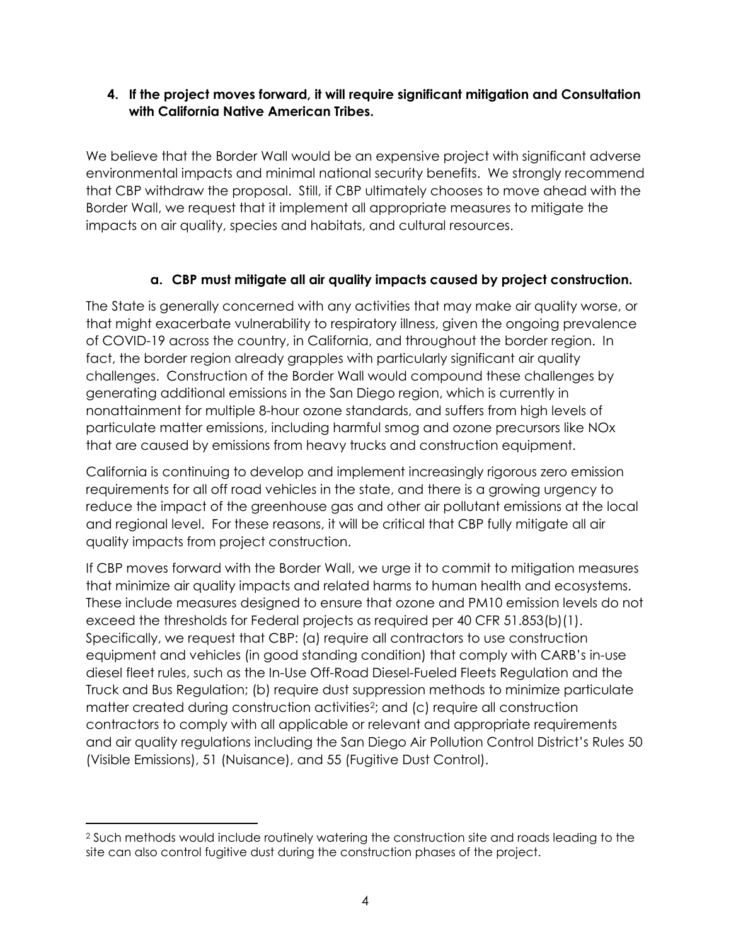#### **4. If the project moves forward, it will require significant mitigation and Consultation with California Native American Tribes.**

We believe that the Border Wall would be an expensive project with significant adverse environmental impacts and minimal national security benefits. We strongly recommend that CBP withdraw the proposal. Still, if CBP ultimately chooses to move ahead with the Border Wall, we request that it implement all appropriate measures to mitigate the impacts on air quality, species and habitats, and cultural resources.

## **a. CBP must mitigate all air quality impacts caused by project construction.**

The State is generally concerned with any activities that may make air quality worse, or that might exacerbate vulnerability to respiratory illness, given the ongoing prevalence of COVID-19 across the country, in California, and throughout the border region. In fact, the border region already grapples with particularly significant air quality challenges. Construction of the Border Wall would compound these challenges by generating additional emissions in the San Diego region, which is currently in nonattainment for multiple 8-hour ozone standards, and suffers from high levels of particulate matter emissions, including harmful smog and ozone precursors like NOx that are caused by emissions from heavy trucks and construction equipment.

California is continuing to develop and implement increasingly rigorous zero emission requirements for all off road vehicles in the state, and there is a growing urgency to reduce the impact of the greenhouse gas and other air pollutant emissions at the local and regional level. For these reasons, it will be critical that CBP fully mitigate all air quality impacts from project construction.

If CBP moves forward with the Border Wall, we urge it to commit to mitigation measures that minimize air quality impacts and related harms to human health and ecosystems. These include measures designed to ensure that ozone and PM10 emission levels do not exceed the thresholds for Federal projects as required per 40 CFR 51.853(b)(1). Specifically, we request that CBP: (a) require all contractors to use construction equipment and vehicles (in good standing condition) that comply with CARB's in-use diesel fleet rules, such as the In-Use Off-Road Diesel-Fueled Fleets Regulation and the Truck and Bus Regulation; (b) require dust suppression methods to minimize particulate matter created during construction activities<sup>2</sup>; and (c) require all construction contractors to comply with all applicable or relevant and appropriate requirements and air quality regulations including the San Diego Air Pollution Control District's Rules 50 (Visible Emissions), 51 (Nuisance), and 55 (Fugitive Dust Control).

<span id="page-3-0"></span> $\overline{\phantom{a}}$ <sup>2</sup> Such methods would include routinely watering the construction site and roads leading to the site can also control fugitive dust during the construction phases of the project.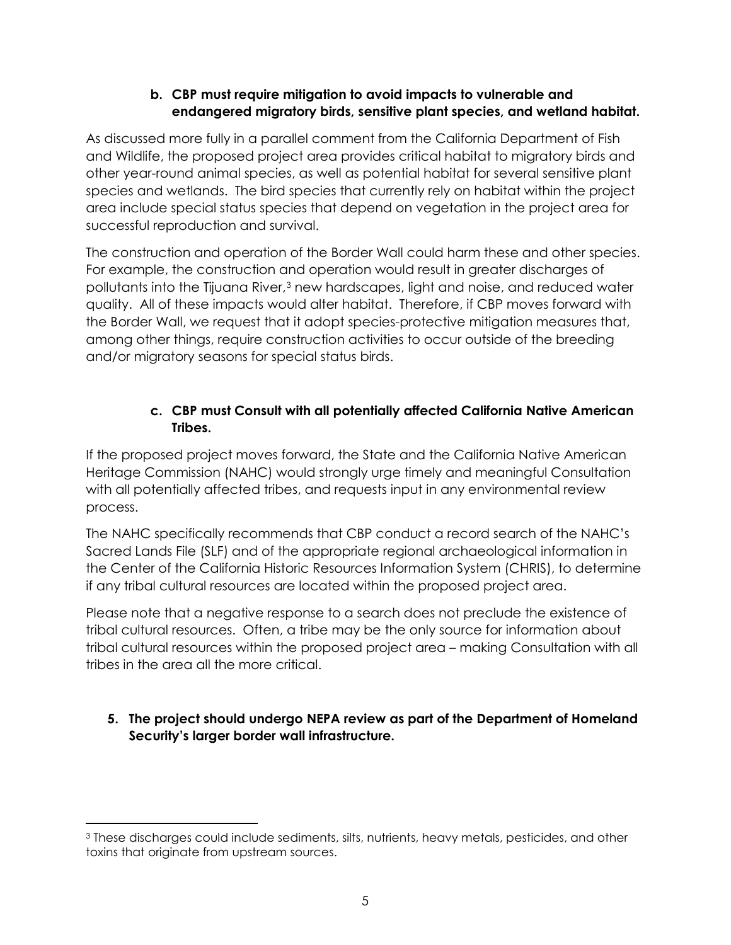### **b. CBP must require mitigation to avoid impacts to vulnerable and endangered migratory birds, sensitive plant species, and wetland habitat.**

As discussed more fully in a parallel comment from the California Department of Fish and Wildlife, the proposed project area provides critical habitat to migratory birds and other year-round animal species, as well as potential habitat for several sensitive plant species and wetlands. The bird species that currently rely on habitat within the project area include special status species that depend on vegetation in the project area for successful reproduction and survival.

The construction and operation of the Border Wall could harm these and other species. For example, the construction and operation would result in greater discharges of pollutants into the Tijuana River,<sup>[3](#page-4-0)</sup> new hardscapes, light and noise, and reduced water quality. All of these impacts would alter habitat. Therefore, if CBP moves forward with the Border Wall, we request that it adopt species-protective mitigation measures that, among other things, require construction activities to occur outside of the breeding and/or migratory seasons for special status birds.

## **c. CBP must Consult with all potentially affected California Native American Tribes.**

If the proposed project moves forward, the State and the California Native American Heritage Commission (NAHC) would strongly urge timely and meaningful Consultation with all potentially affected tribes, and requests input in any environmental review process.

The NAHC specifically recommends that CBP conduct a record search of the NAHC's Sacred Lands File (SLF) and of the appropriate regional archaeological information in the Center of the California Historic Resources Information System (CHRIS), to determine if any tribal cultural resources are located within the proposed project area.

Please note that a negative response to a search does not preclude the existence of tribal cultural resources. Often, a tribe may be the only source for information about tribal cultural resources within the proposed project area – making Consultation with all tribes in the area all the more critical.

# **5. The project should undergo NEPA review as part of the Department of Homeland Security's larger border wall infrastructure.**

 $\overline{\phantom{a}}$ 

<span id="page-4-0"></span><sup>3</sup> These discharges could include sediments, silts, nutrients, heavy metals, pesticides, and other toxins that originate from upstream sources.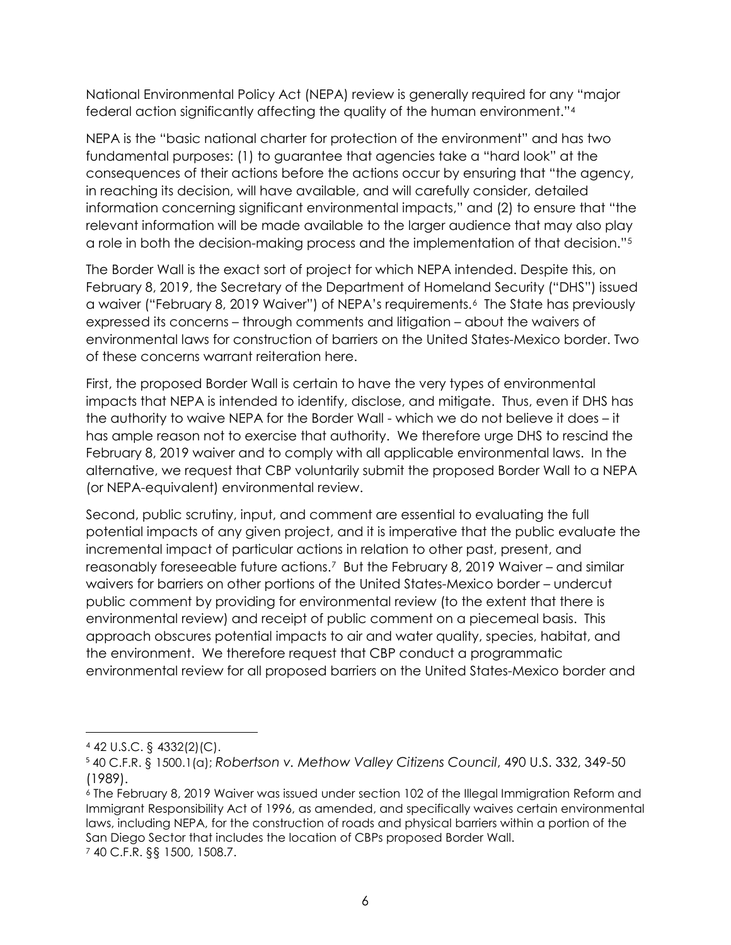National Environmental Policy Act (NEPA) review is generally required for any "major federal action significantly affecting the quality of the human environment."[4](#page-5-0)

NEPA is the "basic national charter for protection of the environment" and has two fundamental purposes: (1) to guarantee that agencies take a "hard look" at the consequences of their actions before the actions occur by ensuring that "the agency, in reaching its decision, will have available, and will carefully consider, detailed information concerning significant environmental impacts," and (2) to ensure that "the relevant information will be made available to the larger audience that may also play a role in both the decision-making process and the implementation of that decision."[5](#page-5-1)

The Border Wall is the exact sort of project for which NEPA intended. Despite this, on February 8, 2019, the Secretary of the Department of Homeland Security ("DHS") issued a waiver ("February 8, 2019 Waiver") of NEPA's requirements.[6](#page-5-2) The State has previously expressed its concerns – through comments and litigation – about the waivers of environmental laws for construction of barriers on the United States-Mexico border. Two of these concerns warrant reiteration here.

First, the proposed Border Wall is certain to have the very types of environmental impacts that NEPA is intended to identify, disclose, and mitigate. Thus, even if DHS has the authority to waive NEPA for the Border Wall - which we do not believe it does – it has ample reason not to exercise that authority. We therefore urge DHS to rescind the February 8, 2019 waiver and to comply with all applicable environmental laws. In the alternative, we request that CBP voluntarily submit the proposed Border Wall to a NEPA (or NEPA-equivalent) environmental review.

Second, public scrutiny, input, and comment are essential to evaluating the full potential impacts of any given project, and it is imperative that the public evaluate the incremental impact of particular actions in relation to other past, present, and reasonably foreseeable future actions.[7](#page-5-3) But the February 8, 2019 Waiver – and similar waivers for barriers on other portions of the United States-Mexico border – undercut public comment by providing for environmental review (to the extent that there is environmental review) and receipt of public comment on a piecemeal basis. This approach obscures potential impacts to air and water quality, species, habitat, and the environment. We therefore request that CBP conduct a programmatic environmental review for all proposed barriers on the United States-Mexico border and

l

<span id="page-5-0"></span><sup>4</sup> 42 U.S.C. § 4332(2)(C).

<span id="page-5-1"></span><sup>5</sup> 40 C.F.R. § 1500.1(a); *Robertson v. Methow Valley Citizens Council*, 490 U.S. 332, 349-50 (1989).

<span id="page-5-3"></span><span id="page-5-2"></span><sup>6</sup> The February 8, 2019 Waiver was issued under section 102 of the Illegal Immigration Reform and Immigrant Responsibility Act of 1996, as amended, and specifically waives certain environmental laws, including NEPA, for the construction of roads and physical barriers within a portion of the San Diego Sector that includes the location of CBPs proposed Border Wall. <sup>7</sup> 40 C.F.R. §§ 1500, 1508.7.